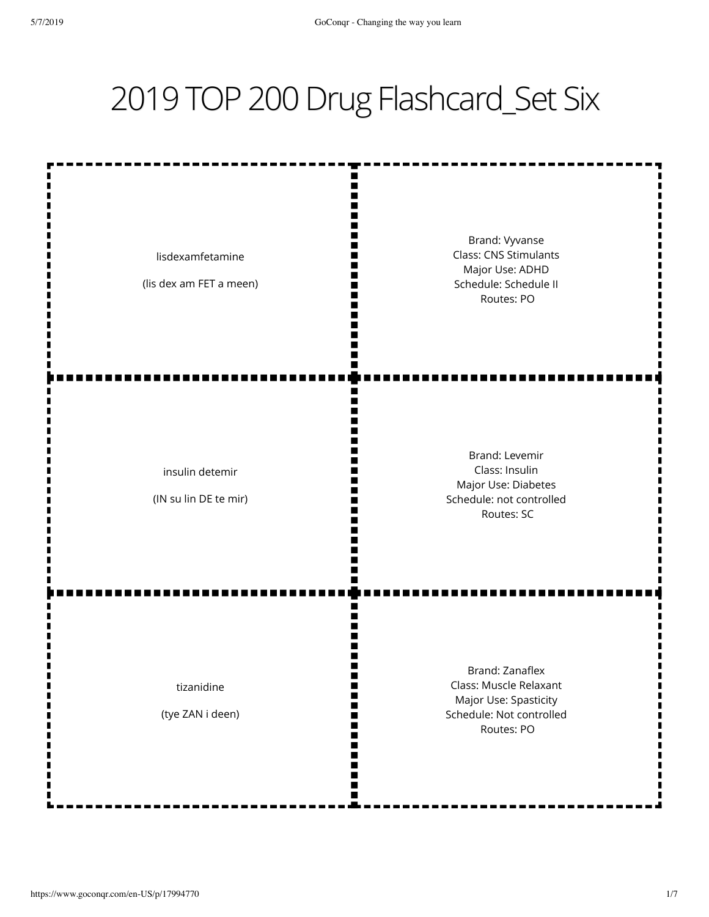## 2019 TOP 200 Drug Flashcard\_Set Six

ш m Ш I٢

Ш M

Ш П m

Ш Ш m

ш

m Ш W m Ш

ш m

lisdexamfetamine

(lis dex am FET a meen)

Brand: Vyvanse Class: CNS Stimulants Major Use: ADHD Schedule: Schedule II Routes: PO

insulin detemir

(IN su lin DE te mir)

Brand: Levemir Class: Insulin Major Use: Diabetes Schedule: not controlled Routes: SC

tizanidine

(tye ZAN i deen)

Brand: Zanaflex Class: Muscle Relaxant Major Use: Spasticity Schedule: Not controlled Routes: PO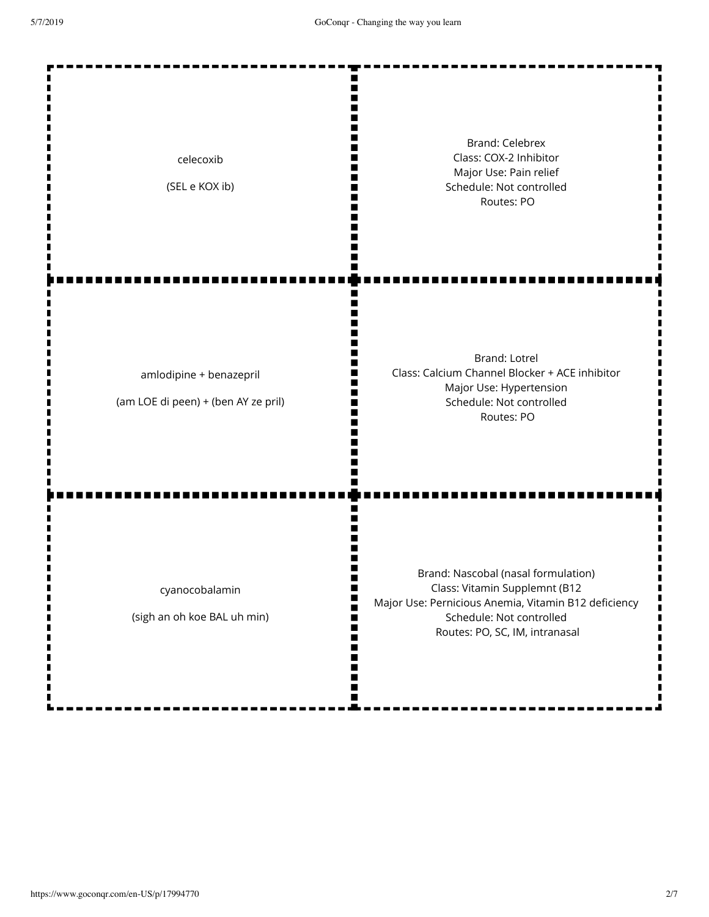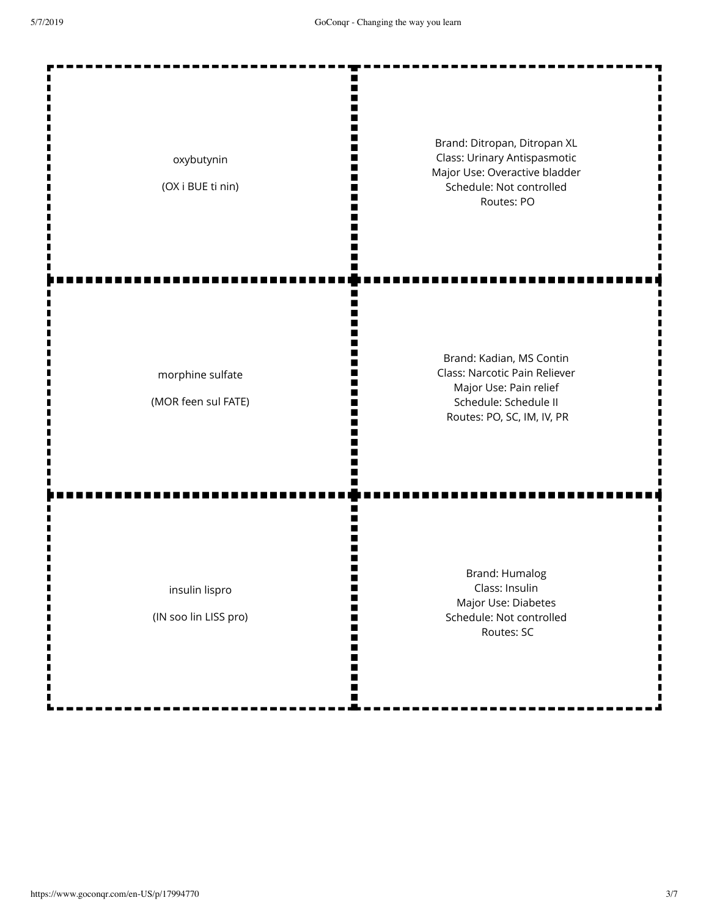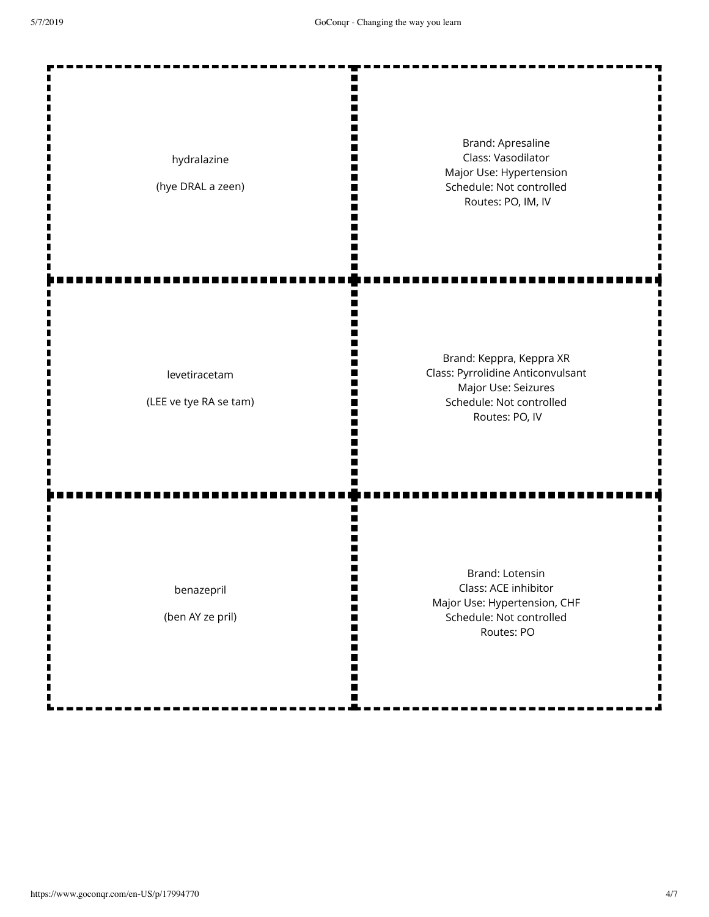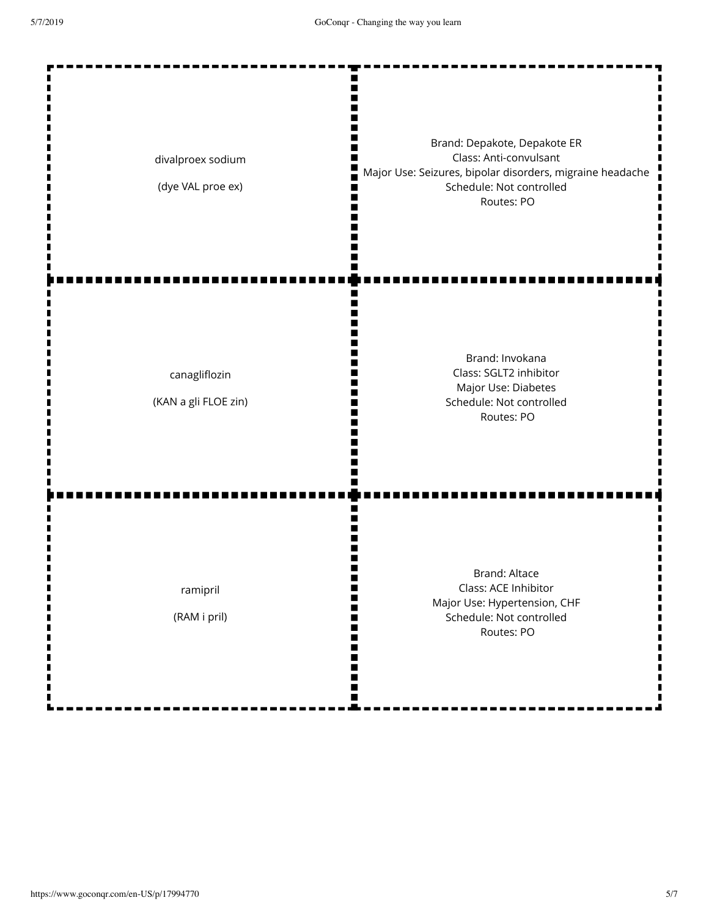| divalproex sodium<br>(dye VAL proe ex)  | Brand: Depakote, Depakote ER<br>Class: Anti-convulsant<br>Major Use: Seizures, bipolar disorders, migraine headache<br>Schedule: Not controlled<br>Routes: PO |
|-----------------------------------------|---------------------------------------------------------------------------------------------------------------------------------------------------------------|
| canagliflozin<br>(KAN a gli FLOE zin)   | Brand: Invokana<br>Class: SGLT2 inhibitor<br>Major Use: Diabetes<br>Schedule: Not controlled<br>Routes: PO                                                    |
| ramipril<br>(RAM i pril)<br>П<br>Ш<br>Ш | <b>Brand: Altace</b><br>Class: ACE Inhibitor<br>Ш<br>Major Use: Hypertension, CHF<br>Schedule: Not controlled<br>₩<br>Routes: PO<br>∎<br>٠<br>∎               |

П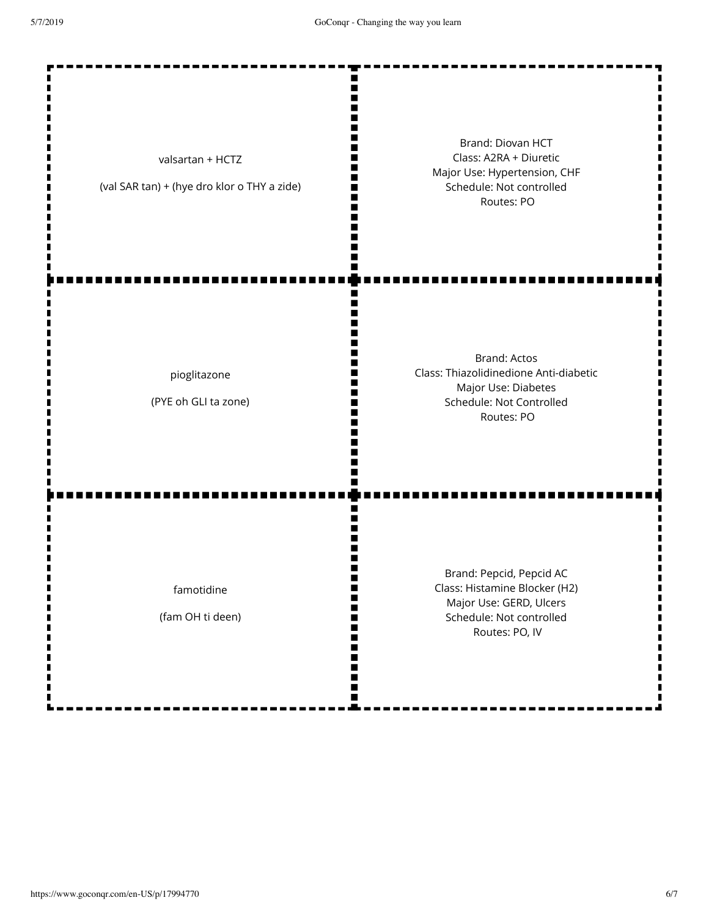Ш II. п  $\blacksquare$ m Brand: Diovan HCT Class: A2RA + Diuretic valsartan + HCTZ Major Use: Hypertension, CHF II. (val SAR tan) + (hye dro klor o THY a zide) Schedule: Not controlled Ш m Routes: PO Ш П ш Brand: Actos Class: Thiazolidinedione Anti-diabetic pioglitazone Major Use: Diabetes ш (PYE oh GLI ta zone) Schedule: Not Controlled m Routes: PO Ш n Brand: Pepcid, Pepcid AC Class: Histamine Blocker (H2) famotidine П m Major Use: GERD, Ulcers (fam OH ti deen) Schedule: Not controlled H П Routes: PO, IVШ Ш п ш